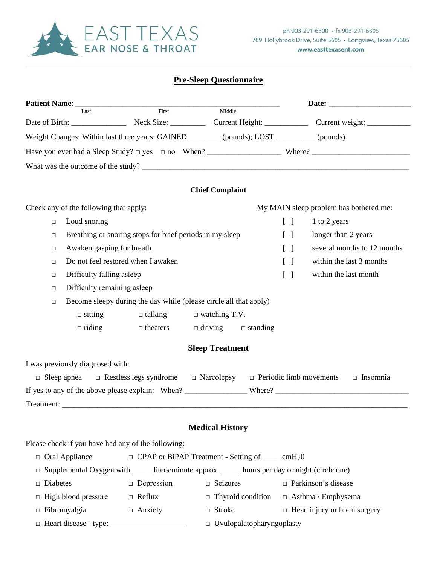

# **Pre-Sleep Questionnaire**

|                                                                                                       |                                                                                           |                                |  |                                  |                                |                   |  | Date: the contract of the contract of the contract of the contract of the contract of the contract of the contract of the contract of the contract of the contract of the contract of the contract of the contract of the cont |  |  |
|-------------------------------------------------------------------------------------------------------|-------------------------------------------------------------------------------------------|--------------------------------|--|----------------------------------|--------------------------------|-------------------|--|--------------------------------------------------------------------------------------------------------------------------------------------------------------------------------------------------------------------------------|--|--|
| Patient Name: ___<br>Last                                                                             |                                                                                           | First                          |  |                                  | Middle                         |                   |  |                                                                                                                                                                                                                                |  |  |
|                                                                                                       |                                                                                           |                                |  |                                  |                                |                   |  |                                                                                                                                                                                                                                |  |  |
|                                                                                                       | Weight Changes: Within last three years: GAINED ________ (pounds); LOST ________ (pounds) |                                |  |                                  |                                |                   |  |                                                                                                                                                                                                                                |  |  |
|                                                                                                       |                                                                                           |                                |  |                                  |                                |                   |  |                                                                                                                                                                                                                                |  |  |
|                                                                                                       |                                                                                           |                                |  |                                  |                                |                   |  | What was the outcome of the study?                                                                                                                                                                                             |  |  |
|                                                                                                       |                                                                                           |                                |  |                                  |                                |                   |  |                                                                                                                                                                                                                                |  |  |
|                                                                                                       |                                                                                           |                                |  | <b>Chief Complaint</b>           |                                |                   |  |                                                                                                                                                                                                                                |  |  |
|                                                                                                       | Check any of the following that apply:                                                    |                                |  |                                  |                                |                   |  | My MAIN sleep problem has bothered me:                                                                                                                                                                                         |  |  |
| $\Box$                                                                                                | Loud snoring                                                                              |                                |  |                                  |                                | $\lceil \rceil$   |  | 1 to 2 years                                                                                                                                                                                                                   |  |  |
| $\Box$                                                                                                | Breathing or snoring stops for brief periods in my sleep                                  |                                |  |                                  |                                | $\lceil \rceil$   |  | longer than 2 years                                                                                                                                                                                                            |  |  |
| $\Box$                                                                                                | Awaken gasping for breath                                                                 |                                |  |                                  |                                | $\lceil$ $\rceil$ |  | several months to 12 months                                                                                                                                                                                                    |  |  |
| $\Box$                                                                                                | Do not feel restored when I awaken                                                        |                                |  |                                  |                                | $\lceil \ \rceil$ |  | within the last 3 months                                                                                                                                                                                                       |  |  |
| $\Box$                                                                                                | Difficulty falling asleep                                                                 |                                |  |                                  |                                | $[\ ]$            |  | within the last month                                                                                                                                                                                                          |  |  |
| $\Box$                                                                                                | Difficulty remaining asleep                                                               |                                |  |                                  |                                |                   |  |                                                                                                                                                                                                                                |  |  |
| $\Box$                                                                                                | Become sleepy during the day while (please circle all that apply)                         |                                |  |                                  |                                |                   |  |                                                                                                                                                                                                                                |  |  |
|                                                                                                       | $\Box$ sitting                                                                            | $\Box$ talking                 |  | $\Box$ watching T.V.             |                                |                   |  |                                                                                                                                                                                                                                |  |  |
|                                                                                                       | $\Box$ riding                                                                             | $\Box$ theaters $\Box$ driving |  |                                  | $\Box$ standing                |                   |  |                                                                                                                                                                                                                                |  |  |
|                                                                                                       |                                                                                           |                                |  | <b>Sleep Treatment</b>           |                                |                   |  |                                                                                                                                                                                                                                |  |  |
|                                                                                                       | I was previously diagnosed with:                                                          |                                |  |                                  |                                |                   |  |                                                                                                                                                                                                                                |  |  |
| $\Box$ Sleep apnea                                                                                    |                                                                                           | $\Box$ Restless legs syndrome  |  | $\Box$ Narcolepsy                | $\Box$ Periodic limb movements |                   |  | $\Box$ Insomnia                                                                                                                                                                                                                |  |  |
|                                                                                                       |                                                                                           |                                |  |                                  |                                |                   |  |                                                                                                                                                                                                                                |  |  |
|                                                                                                       |                                                                                           |                                |  |                                  |                                |                   |  |                                                                                                                                                                                                                                |  |  |
|                                                                                                       |                                                                                           |                                |  |                                  |                                |                   |  |                                                                                                                                                                                                                                |  |  |
|                                                                                                       |                                                                                           |                                |  | <b>Medical History</b>           |                                |                   |  |                                                                                                                                                                                                                                |  |  |
|                                                                                                       | Please check if you have had any of the following:                                        |                                |  |                                  |                                |                   |  |                                                                                                                                                                                                                                |  |  |
| $\Box$ Oral Appliance<br>$\Box$ CPAP or BiPAP Treatment - Setting of _____cmH <sub>2</sub> 0          |                                                                                           |                                |  |                                  |                                |                   |  |                                                                                                                                                                                                                                |  |  |
| Supplemental Oxygen with ______ liters/minute approx. ______ hours per day or night (circle one)<br>□ |                                                                                           |                                |  |                                  |                                |                   |  |                                                                                                                                                                                                                                |  |  |
| Diabetes<br>◻                                                                                         |                                                                                           | $\Box$ Depression              |  | $\Box$ Seizures                  |                                |                   |  | $\Box$ Parkinson's disease                                                                                                                                                                                                     |  |  |
|                                                                                                       | $\Box$ High blood pressure                                                                | $\Box$ Reflux                  |  |                                  | $\Box$ Thyroid condition       |                   |  | $\Box$ Asthma / Emphysema                                                                                                                                                                                                      |  |  |
| $\Box$ Fibromyalgia                                                                                   |                                                                                           | $\Box$ Anxiety                 |  | $\Box$ Stroke                    |                                |                   |  | $\Box$ Head injury or brain surgery                                                                                                                                                                                            |  |  |
|                                                                                                       | $\Box$ Heart disease - type: $\Box$                                                       |                                |  | $\Box$ Uvulopalatopharyngoplasty |                                |                   |  |                                                                                                                                                                                                                                |  |  |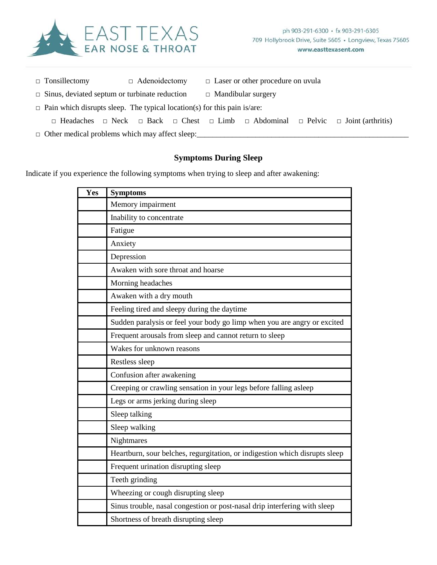

|                                                      | $\Box$ Tonsillectomy                                                            |  | $\Box$ Adenoidectomy |  | $\Box$ Laser or other procedure on uvula |                           |  |                                                                                                                           |  |
|------------------------------------------------------|---------------------------------------------------------------------------------|--|----------------------|--|------------------------------------------|---------------------------|--|---------------------------------------------------------------------------------------------------------------------------|--|
| $\Box$ Sinus, deviated septum or turbinate reduction |                                                                                 |  |                      |  |                                          | $\Box$ Mandibular surgery |  |                                                                                                                           |  |
|                                                      | $\Box$ Pain which disrupts sleep. The typical location(s) for this pain is/are: |  |                      |  |                                          |                           |  |                                                                                                                           |  |
|                                                      |                                                                                 |  |                      |  |                                          |                           |  | $\Box$ Headaches $\Box$ Neck $\Box$ Back $\Box$ Chest $\Box$ Limb $\Box$ Abdominal $\Box$ Pelvic $\Box$ Joint (arthritis) |  |
|                                                      | $\Box$ Other medical problems which may affect sleep:                           |  |                      |  |                                          |                           |  |                                                                                                                           |  |

# **Symptoms During Sleep**

Indicate if you experience the following symptoms when trying to sleep and after awakening:

| Yes | <b>Symptoms</b>                                                             |  |  |  |  |  |
|-----|-----------------------------------------------------------------------------|--|--|--|--|--|
|     | Memory impairment                                                           |  |  |  |  |  |
|     | Inability to concentrate                                                    |  |  |  |  |  |
|     | Fatigue                                                                     |  |  |  |  |  |
|     | Anxiety                                                                     |  |  |  |  |  |
|     | Depression                                                                  |  |  |  |  |  |
|     | Awaken with sore throat and hoarse                                          |  |  |  |  |  |
|     | Morning headaches                                                           |  |  |  |  |  |
|     | Awaken with a dry mouth                                                     |  |  |  |  |  |
|     | Feeling tired and sleepy during the daytime                                 |  |  |  |  |  |
|     | Sudden paralysis or feel your body go limp when you are angry or excited    |  |  |  |  |  |
|     | Frequent arousals from sleep and cannot return to sleep                     |  |  |  |  |  |
|     | Wakes for unknown reasons                                                   |  |  |  |  |  |
|     |                                                                             |  |  |  |  |  |
|     | Restless sleep                                                              |  |  |  |  |  |
|     | Confusion after awakening                                                   |  |  |  |  |  |
|     | Creeping or crawling sensation in your legs before falling asleep           |  |  |  |  |  |
|     | Legs or arms jerking during sleep                                           |  |  |  |  |  |
|     | Sleep talking                                                               |  |  |  |  |  |
|     | Sleep walking                                                               |  |  |  |  |  |
|     | <b>Nightmares</b>                                                           |  |  |  |  |  |
|     | Heartburn, sour belches, regurgitation, or indigestion which disrupts sleep |  |  |  |  |  |
|     | Frequent urination disrupting sleep                                         |  |  |  |  |  |
|     | Teeth grinding                                                              |  |  |  |  |  |
|     | Wheezing or cough disrupting sleep                                          |  |  |  |  |  |
|     | Sinus trouble, nasal congestion or post-nasal drip interfering with sleep   |  |  |  |  |  |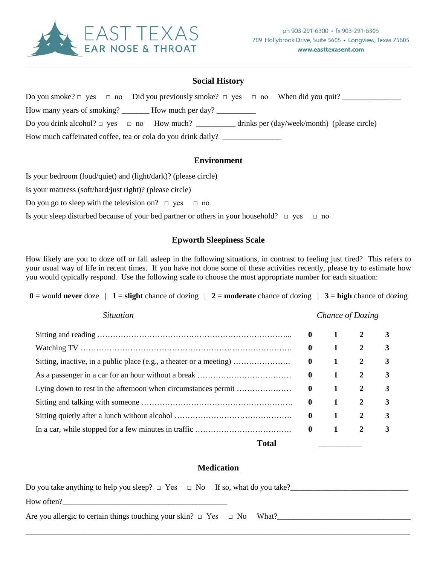

### **Social History**

Do you smoke? □ yes □ no Did you previously smoke? □ yes □ no When did you quit? \_\_\_\_\_\_\_\_\_\_\_\_\_\_\_ How many years of smoking? How much per day? Do you drink alcohol?  $\Box$  yes  $\Box$  no How much? \_\_\_\_\_\_\_\_\_\_ drinks per (day/week/month) (please circle) How much caffeinated coffee, tea or cola do you drink daily?

#### **Environment**

Is your bedroom (loud/quiet) and (light/dark)? (please circle)

Is your mattress (soft/hard/just right)? (please circle)

Do you go to sleep with the television on?  $\Box$  yes  $\Box$  no

Is your sleep disturbed because of your bed partner or others in your household?  $\Box$  yes  $\Box$  no

### **Epworth Sleepiness Scale**

How likely are you to doze off or fall asleep in the following situations, in contrast to feeling just tired? This refers to your usual way of life in recent times. If you have not done some of these activities recently, please try to estimate how you would typically respond. Use the following scale to choose the most appropriate number for each situation:

**0** = would **never** doze  $\vert$  **1** = **slight** chance of dozing  $\vert$  **2** = **moderate** chance of dozing  $\vert$  **3** = **high** chance of dozing

| <i>Situation</i>                                                    |              |              | Chance of Dozing |   |
|---------------------------------------------------------------------|--------------|--------------|------------------|---|
|                                                                     | $\mathbf{0}$ | $\mathbf{1}$ | $\mathbf{2}$     | 3 |
|                                                                     | $\mathbf{0}$ | 1            | 2                | 3 |
| Sitting, inactive, in a public place (e.g., a theater or a meeting) | $\mathbf{0}$ | 1            | 2                | 3 |
|                                                                     | $\mathbf{0}$ | 1            | 2                | 3 |
|                                                                     | $\mathbf{0}$ | 1            | 2                | 3 |
|                                                                     | $\mathbf{0}$ | 1            | 2                | 3 |
|                                                                     | $\mathbf{0}$ | $\mathbf{1}$ | 2                | 3 |
|                                                                     | $\mathbf{0}$ | 1            | 2                | 3 |
| Total                                                               |              |              |                  |   |

## **Medication**

| Do you take anything to help you sleep? $\Box$ Yes $\Box$ No If so, what do you take? |  |
|---------------------------------------------------------------------------------------|--|
| How often?                                                                            |  |
| Are you allergic to certain things touching your skin? $\Box$ Yes $\Box$ No What?     |  |
|                                                                                       |  |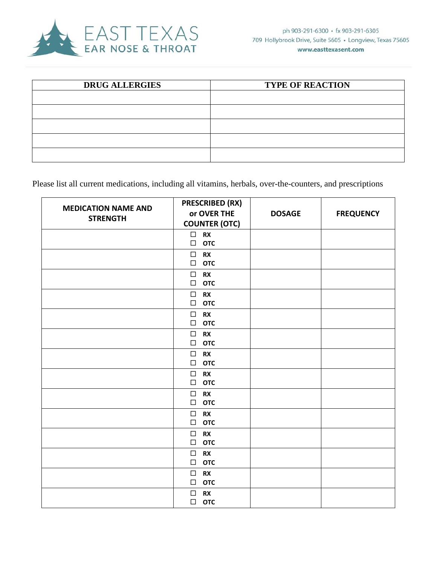

| <b>DRUG ALLERGIES</b> | <b>TYPE OF REACTION</b> |
|-----------------------|-------------------------|
|                       |                         |
|                       |                         |
|                       |                         |
|                       |                         |
|                       |                         |

Please list all current medications, including all vitamins, herbals, over-the-counters, and prescriptions

|                            | <b>PRESCRIBED (RX)</b>                      |               |                  |
|----------------------------|---------------------------------------------|---------------|------------------|
| <b>MEDICATION NAME AND</b> | or OVER THE                                 | <b>DOSAGE</b> | <b>FREQUENCY</b> |
| <b>STRENGTH</b>            | <b>COUNTER (OTC)</b>                        |               |                  |
|                            | $\square$ RX                                |               |                  |
|                            | <b>OTC</b><br>$\Box$                        |               |                  |
|                            | $\Box$<br><b>RX</b>                         |               |                  |
|                            | $\Box$<br><b>OTC</b>                        |               |                  |
|                            | $\Box$<br><b>RX</b>                         |               |                  |
|                            | $\Box$<br><b>OTC</b>                        |               |                  |
|                            | $\Box$<br><b>RX</b>                         |               |                  |
|                            | <b>OTC</b><br>$\Box$                        |               |                  |
|                            | $\Box$<br><b>RX</b>                         |               |                  |
|                            | $\Box$<br><b>OTC</b>                        |               |                  |
|                            | <b>RX</b><br>$\Box$                         |               |                  |
|                            | <b>OTC</b><br>$\Box$                        |               |                  |
|                            | $\Box$<br><b>RX</b><br>$\Box$               |               |                  |
|                            | <b>OTC</b>                                  |               |                  |
|                            | $\Box$<br><b>RX</b><br>$\Box$<br><b>OTC</b> |               |                  |
|                            |                                             |               |                  |
|                            | $\Box$<br><b>RX</b><br><b>OTC</b><br>$\Box$ |               |                  |
|                            | $\Box$                                      |               |                  |
|                            | <b>RX</b><br><b>OTC</b><br>$\Box$           |               |                  |
|                            | $\Box$<br><b>RX</b>                         |               |                  |
|                            | $\Box$<br><b>OTC</b>                        |               |                  |
|                            | $\Box$<br><b>RX</b>                         |               |                  |
|                            | $\Box$<br><b>OTC</b>                        |               |                  |
|                            | $\Box$<br><b>RX</b>                         |               |                  |
|                            | $\Box$<br><b>OTC</b>                        |               |                  |
|                            | <b>RX</b><br>$\Box$                         |               |                  |
|                            | <b>OTC</b><br>$\Box$                        |               |                  |